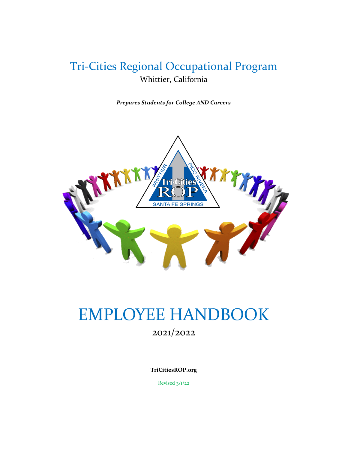# Tri-Cities Regional Occupational Program Whittier, California

*Prepares Students for College AND Careers*



# EMPLOYEE HANDBOOK

2021/2022

**TriCitiesROP.org**

Revised 3/1/22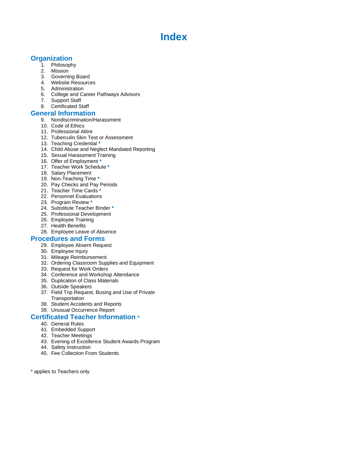# **Index**

# **Organization**

- 1. Philosophy
- 2. Mission
- 3. Governing Board
- 4. Website Resources
- 5. Administration
- 6. College and Career Pathways Advisors
- 7. Support Staff
- 8. Certificated Staff

# **General Information**

- 9. Nondiscrimination/Harassment
- 10. Code of Ethics
- 11. Professional Attire
- 12. Tuberculin Skin Test or Assessment
- 13. Teaching Credential **\***
- 14. Child Abuse and Neglect Mandated Reporting
- 15. Sexual Harassment Training
- 16. Offer of Employment **\***
- 17. Teacher Work Schedule **\***
- 18. Salary Placement
- 19. Non-Teaching Time **\***
- 20. Pay Checks and Pay Periods
- 21. Teacher Time Cards **\***
- 22. Personnel Evaluations
- 23. Program Review **\***
- 24. Substitute Teacher Binder **\***
- 25. Professional Development
- 26. Employee Training
- 27. Health Benefits
- 28. Employee Leave of Absence

# **Procedures and Forms**

- 29. Employee Absent Request
- 30. Employee Injury
- 31. Mileage Reimbursement
- 32. Ordering Classroom Supplies and Equipment
- 33. Request for Work Orders
- 34. Conference and Workshop Attendance
- 35. Duplication of Class Materials
- 36. Outside Speakers
- 37. Field Trip Request, Busing and Use of Private **Transportation**
- 38. Student Accidents and Reports
- 39. Unusual Occurrence Report

# **Certificated Teacher Information \***

- 40. General Rules
- 41. Embedded Support
- 42. Teacher Meetings
- 43. Evening of Excellence Student Awards Program
- 44. Safety Instruction
- 45. Fee Collection From Students
- **\*** applies to Teachers only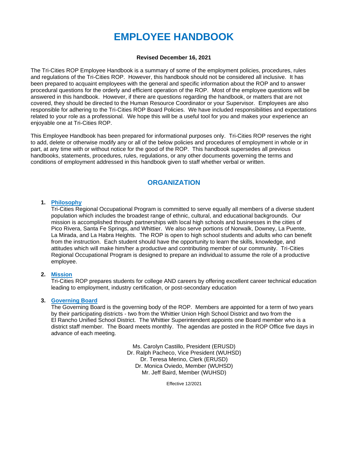# **EMPLOYEE HANDBOOK**

# **Revised December 16, 2021**

The Tri-Cities ROP Employee Handbook is a summary of some of the employment policies, procedures, rules and regulations of the Tri-Cities ROP. However, this handbook should not be considered all inclusive. It has been prepared to acquaint employees with the general and specific information about the ROP and to answer procedural questions for the orderly and efficient operation of the ROP. Most of the employee questions will be answered in this handbook. However, if there are questions regarding the handbook, or matters that are not covered, they should be directed to the Human Resource Coordinator or your Supervisor. Employees are also responsible for adhering to the Tri-Cities ROP Board Policies. We have included responsibilities and expectations related to your role as a professional. We hope this will be a useful tool for you and makes your experience an enjoyable one at Tri-Cities ROP.

This Employee Handbook has been prepared for informational purposes only. Tri-Cities ROP reserves the right to add, delete or otherwise modify any or all of the below policies and procedures of employment in whole or in part, at any time with or without notice for the good of the ROP. This handbook supersedes all previous handbooks, statements, procedures, rules, regulations, or any other documents governing the terms and conditions of employment addressed in this handbook given to staff whether verbal or written.

# **ORGANIZATION**

# **1. Philosophy**

Tri-Cities Regional Occupational Program is committed to serve equally all members of a diverse student population which includes the broadest range of ethnic, cultural, and educational backgrounds. Our mission is accomplished through partnerships with local high schools and businesses in the cities of Pico Rivera, Santa Fe Springs, and Whittier. We also serve portions of Norwalk, Downey, La Puente, La Mirada, and La Habra Heights. The ROP is open to high school students and adults who can benefit from the instruction. Each student should have the opportunity to learn the skills, knowledge, and attitudes which will make him/her a productive and contributing member of our community. Tri-Cities Regional Occupational Program is designed to prepare an individual to assume the role of a productive employee.

# **2. Mission**

Tri-Cities ROP prepares students for college AND careers by offering excellent career technical education leading to employment, industry certification, or post-secondary education

# **3. Governing Board**

The Governing Board is the governing body of the ROP. Members are appointed for a term of two years by their participating districts - two from the Whittier Union High School District and two from the El Rancho Unified School District. The Whittier Superintendent appoints one Board member who is a district staff member. The Board meets monthly. The agendas are posted in the ROP Office five days in advance of each meeting.

> Ms. Carolyn Castillo, President (ERUSD) Dr. Ralph Pacheco, Vice President (WUHSD) Dr. Teresa Merino, Clerk (ERUSD) Dr. Monica Oviedo, Member (WUHSD) Mr. Jeff Baird, Member (WUHSD)

> > Effective 12/2021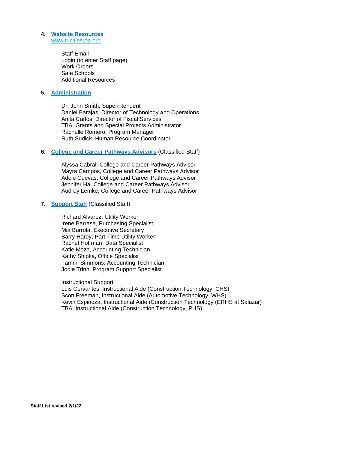### **4. Website Resources** [www.tricitiesrop.org](http://www.tricitiesrop.org/)

Staff Email Login (to enter Staff page) Work Orders Safe Schools Additional Resources

# **5. Administration**

Dr. John Smith, Superintendent Daniel Barajas, Director of Technology and Operations Anita Carlos, Director of Fiscal Services TBA, Grants and Special Projects Administrator Rachelle Romero, Program Manager Ruth Sudick, Human Resource Coordinator

# **6. College and Career Pathways Advisors** (Classified Staff)

Alyssa Cabral, College and Career Pathways Advisor Mayra Campos, College and Career Pathways Advisor Adele Cuevas, College and Career Pathways Advisor Jennifer Ha, College and Career Pathways Advisor Audrey Lemke, College and Career Pathways Advisor

# **7. Support Staff** (Classified Staff)

Richard Alvarez, Utility Worker Irene Barrasa, Purchasing Specialist Mia Burrola, Executive Secretary Barry Hardy, Part-Time Utility Worker Rachel Hoffman, Data Specialist Katie Meza, Accounting Technician Kathy Shipka, Office Specialist Tammi Simmons, Accounting Technician Jodie Trinh, Program Support Specialist

# Instructional Support

Luis Cervantes, Instructional Aide (Construction Technology, CHS) Scott Freeman, Instructional Aide (Automotive Technology, WHS) Kevin Espinoza, Instructional Aide (Construction Technology (ERHS at Salazar) TBA, Instructional Aide (Construction Technology, PHS)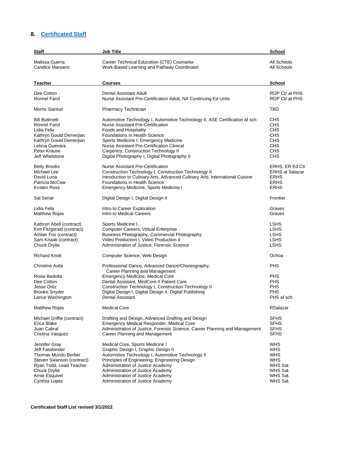# **8. Certificated Staff**

| Staff                                                                                   | Job Title                                                                                                                                                                                                                                               | <b>School</b>                                                      |
|-----------------------------------------------------------------------------------------|---------------------------------------------------------------------------------------------------------------------------------------------------------------------------------------------------------------------------------------------------------|--------------------------------------------------------------------|
| Malissa Guerra                                                                          | Career Technical Education (CTE) Counselor                                                                                                                                                                                                              | All Schools                                                        |
| Candice Marsano                                                                         | Work-Based Learning and Pathway Coordinator                                                                                                                                                                                                             | All Schools                                                        |
| Teacher                                                                                 | <b>Courses</b>                                                                                                                                                                                                                                          | School                                                             |
| Dee Cotton                                                                              | Dental Assistant Adult                                                                                                                                                                                                                                  | ROP Ctr at PHS                                                     |
| Ronnel Farol                                                                            | Nurse Assistant Pre-Certification Adult, NA Continuing Ed Units                                                                                                                                                                                         | ROP Ctr at PHS                                                     |
| Morris Sianturi                                                                         | Pharmacy Technician                                                                                                                                                                                                                                     | <b>TBD</b>                                                         |
| <b>Bill Buttinelli</b>                                                                  | Automotive Technology I, Automotive Technology II, ASE Certification af sch                                                                                                                                                                             | CHS                                                                |
| Ronnel Farol                                                                            | Nurse Assistant Pre-Certification                                                                                                                                                                                                                       | <b>CHS</b>                                                         |
| Lidia Felix                                                                             | Foods and Hospitality                                                                                                                                                                                                                                   | CHS                                                                |
| Kathryn Gould Demerjian                                                                 | <b>Foundations in Health Science</b>                                                                                                                                                                                                                    | <b>CHS</b>                                                         |
| Kathryn Gould Demerjian                                                                 | Sports Medicine I, Emergency Medicine                                                                                                                                                                                                                   | CHS                                                                |
| Leticia Guevara                                                                         | Nurse Assistant Pre-Certification Clinical                                                                                                                                                                                                              | <b>CHS</b>                                                         |
| Peter Krause                                                                            | Carpentry, Construction Technology II                                                                                                                                                                                                                   | CHS                                                                |
| Jeff Whetstone                                                                          | Digital Photography I, Digital Photography II                                                                                                                                                                                                           | <b>CHS</b>                                                         |
| <b>Betty Brooks</b>                                                                     | Nurse Assistant Pre-Certification                                                                                                                                                                                                                       | ERHS, ER Ed Ctr                                                    |
| Michael Lee                                                                             | Construction Technology I, Construction Technology II                                                                                                                                                                                                   | <b>ERHS at Salazar</b>                                             |
| David Luna                                                                              | Introduction to Culinary Arts, Advanced Culinary Arts, International Cuisine                                                                                                                                                                            | <b>ERHS</b>                                                        |
| Patricia McCaw                                                                          | Foundations in Health Science                                                                                                                                                                                                                           | <b>ERHS</b>                                                        |
| <b>Kristen Ross</b>                                                                     | Emergency Medicine, Sports Medicine I                                                                                                                                                                                                                   | <b>ERHS</b>                                                        |
| Sal Senar                                                                               | Digital Design I, Digital Design II                                                                                                                                                                                                                     | Frontier                                                           |
| Lidia Felix                                                                             | Intro to Career Exploration                                                                                                                                                                                                                             | Graves                                                             |
| Matthew Rojas                                                                           | Intro to Medical Careers                                                                                                                                                                                                                                | Graves                                                             |
| Kathryn Abell (contract)                                                                | Sports Medicine I                                                                                                                                                                                                                                       | <b>LSHS</b>                                                        |
| Kim Fitzgerald (contract)                                                               | Computer Careers, Virtual Enterprise                                                                                                                                                                                                                    | LSHS                                                               |
| Amber Fox (contract)                                                                    | Business Photography, Commercial Photography                                                                                                                                                                                                            | <b>LSHS</b>                                                        |
| Sam Knaak (contract)                                                                    | Video Production I, Video Production II                                                                                                                                                                                                                 | LSHS                                                               |
| Chuck Drylie                                                                            | Administration of Justice, Forensic Science                                                                                                                                                                                                             | <b>LSHS</b>                                                        |
| <b>Richard Knott</b>                                                                    | Computer Science, Web Design                                                                                                                                                                                                                            | Ochoa                                                              |
| Christine Avila                                                                         | Professional Dance, Advanced Dance/Choreography,                                                                                                                                                                                                        | <b>PHS</b>                                                         |
| Rosie Bedolla<br>Dee Cotton<br>Jesse Ortiz<br><b>Brooke Snyder</b><br>Larice Washington | Career Planning and Management<br>Emergency Medicine, Medical Core<br>Dental Assistant, MedCore II Patient Care<br>Construction Technology I, Construction Technology II<br>Digital Design I, Digital Design II, Digital Publishing<br>Dental Assistant | <b>PHS</b><br><b>PHS</b><br><b>PHS</b><br><b>PHS</b><br>PHS af sch |
| <b>Matthew Rojas</b>                                                                    | <b>Medical Core</b>                                                                                                                                                                                                                                     | RSalazar                                                           |
| Michael Griffie (contract)                                                              | Drafting and Design, Advanced Drafting and Design                                                                                                                                                                                                       | <b>SFHS</b>                                                        |
| Erica Blake                                                                             | Emergency Medical Responder, Medical Core                                                                                                                                                                                                               | SFHS                                                               |
| Juan Cabral                                                                             | Administration of Justice, Forensic Science, Career Planning and Management                                                                                                                                                                             | SFHS                                                               |
| Cristina Vasquez                                                                        | Career Planning and Management                                                                                                                                                                                                                          | SFHS                                                               |
| Jennifer Gray                                                                           | Medical Core, Sports Medicine I                                                                                                                                                                                                                         | <b>WHS</b>                                                         |
| Jeff Fassbinder                                                                         | Graphic Design I, Graphic Design II                                                                                                                                                                                                                     | <b>WHS</b>                                                         |
| <b>Thomas Mundo Berber</b>                                                              | Automotive Technology I, Automotive Technology II                                                                                                                                                                                                       | <b>WHS</b>                                                         |
| Steven Swanson (contract)                                                               | Principles of Engineering, Engineering Design                                                                                                                                                                                                           | <b>WHS</b>                                                         |
| Ryan Todd, Lead Teacher                                                                 | Administration of Justice Academy                                                                                                                                                                                                                       | WHS Sat.                                                           |
| Chuck Drylie                                                                            | Administration of Justice Academy                                                                                                                                                                                                                       | WHS Sat.                                                           |
| Arnie Esquivel                                                                          | Administration of Justice Academy                                                                                                                                                                                                                       | WHS Sat.                                                           |
| Cynthia Lopez                                                                           | Administration of Justice Academy                                                                                                                                                                                                                       | WHS Sat.                                                           |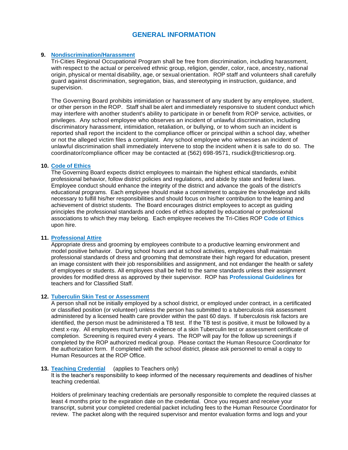# **GENERAL INFORMATION**

# **9. Nondiscrimination/Harassment**

Tri-Cities Regional Occupational Program shall be free from discrimination, including harassment, with respect to the actual or perceived ethnic group, religion, gender, color, race, ancestry, national origin, physical or mental disability, age, or sexual orientation. ROP staff and volunteers shall carefully guard against discrimination, segregation, bias, and stereotyping in instruction, guidance, and supervision.

The Governing Board prohibits intimidation or harassment of any student by any employee, student, or other person in the ROP. Staff shall be alert and immediately responsive to student conduct which may interfere with another student's ability to participate in or benefit from ROP service, activities, or privileges. Any school employee who observes an incident of unlawful discrimination, including discriminatory harassment, intimidation, retaliation, or bullying, or to whom such an incident is reported shall report the incident to the compliance officer or principal within a school day, whether or not the alleged victim files a complaint. Any school employee who witnesses an incident of unlawful discrimination shall immediately intervene to stop the incident when it is safe to do so. The coordinator/compliance officer may be contacted at (562) 698-9571, rsudick@tricitiesrop.org.

### **10. Code of Ethics**

The Governing Board expects district employees to maintain the highest ethical standards, exhibit professional behavior, follow district policies and regulations, and abide by state and federal laws. Employee conduct should enhance the integrity of the district and advance the goals of the district's educational programs. Each employee should make a commitment to acquire the knowledge and skills necessary to fulfill his/her responsibilities and should focus on his/her contribution to the learning and achievement of district students. The Board encourages district employees to accept as guiding principles the professional standards and codes of ethics adopted by educational or professional associations to which they may belong. Each employee receives the Tri-Cities ROP **Code of Ethics** upon hire.

## **11. Professional Attire**

Appropriate dress and grooming by employees contribute to a productive learning environment and model positive behavior. During school hours and at school activities, employees shall maintain professional standards of dress and grooming that demonstrate their high regard for education, present an image consistent with their job responsibilities and assignment, and not endanger the health or safety of employees or students. All employees shall be held to the same standards unless their assignment provides for modified dress as approved by their supervisor. ROP has **Professional Guidelines** for teachers and for Classified Staff.

# **12. Tuberculin Skin Test or Assessment**

A person shall not be initially employed by a school district, or employed under contract, in a certificated or classified position (or volunteer) unless the person has submitted to a tuberculosis risk assessment administered by a licensed health care provider within the past 60 days. If tuberculosis risk factors are identified, the person must be administered a TB test. If the TB test is positive, it must be followed by a chest x-ray. All employees must furnish evidence of a skin Tuberculin test or assessment certificate of completion. Screening is required every 4 years. The ROP will pay for the follow up screenings if completed by the ROP authorized medical group. Please contact the Human Resource Coordinator for the authorization form. If completed with the school district, please ask personnel to email a copy to Human Resources at the ROP Office.

#### **13. Teaching Credential** (applies to Teachers only)

It is the teacher's responsibility to keep informed of the necessary requirements and deadlines of his/her teaching credential.

Holders of preliminary teaching credentials are personally responsible to complete the required classes at least 4 months prior to the expiration date on the credential. Once you request and receive your transcript, submit your completed credential packet including fees to the Human Resource Coordinator for review. The packet along with the required supervisor and mentor evaluation forms and logs and your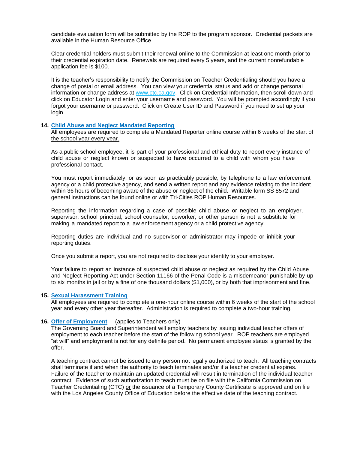candidate evaluation form will be submitted by the ROP to the program sponsor. Credential packets are available in the Human Resource Office.

Clear credential holders must submit their renewal online to the Commission at least one month prior to their credential expiration date. Renewals are required every 5 years, and the current nonrefundable application fee is \$100.

It is the teacher's responsibility to notify the Commission on Teacher Credentialing should you have a change of postal or email address. You can view your credential status and add or change personal information or change address at [www.ctc.ca.gov.](http://www.ctc.ca.gov/) Click on Credential Information, then scroll down and click on Educator Login and enter your username and password. You will be prompted accordingly if you forgot your username or password. Click on Create User ID and Password if you need to set up your login.

# **14. Child Abuse and Neglect Mandated Reporting**

All employees are required to complete a Mandated Reporter online course within 6 weeks of the start of the school year every year.

As a public school employee, it is part of your professional and ethical duty to report every instance of child abuse or neglect known or suspected to have occurred to a child with whom you have professional contact.

You must report immediately, or as soon as practicably possible, by telephone to a law enforcement agency or a child protective agency, and send a written report and any evidence relating to the incident within 36 hours of becoming aware of the abuse or neglect of the child. Writable form SS 8572 and general instructions can be found online or with Tri-Cities ROP Human Resources.

Reporting the information regarding a case of possible child abuse or neglect to an employer, supervisor, school principal, school counselor, coworker, or other person is not a substitute for making a mandated report to a law enforcement agency or a child protective agency.

Reporting duties are individual and no supervisor or administrator may impede or inhibit your reporting duties.

Once you submit a report, you are not required to disclose your identity to your employer.

Your failure to report an instance of suspected child abuse or neglect as required by the Child Abuse and Neglect Reporting Act under Section 11166 of the Penal Code is a misdemeanor punishable by up to six months in jail or by a fine of one thousand dollars (\$1,000), or by both that imprisonment and fine.

#### **15. Sexual Harassment Training**

All employees are required to complete a one-hour online course within 6 weeks of the start of the school year and every other year thereafter. Administration is required to complete a two-hour training.

# **16. Offer of Employment** (applies to Teachers only)

The Governing Board and Superintendent will employ teachers by issuing individual teacher offers of employment to each teacher before the start of the following school year. ROP teachers are employed "at will" and employment is not for any definite period. No permanent employee status is granted by the offer.

A teaching contract cannot be issued to any person not legally authorized to teach. All teaching contracts shall terminate if and when the authority to teach terminates and/or if a teacher credential expires. Failure of the teacher to maintain an updated credential will result in termination of the individual teacher contract. Evidence of such authorization to teach must be on file with the California Commission on Teacher Credentialing (CTC) or the issuance of a Temporary County Certificate is approved and on file with the Los Angeles County Office of Education before the effective date of the teaching contract.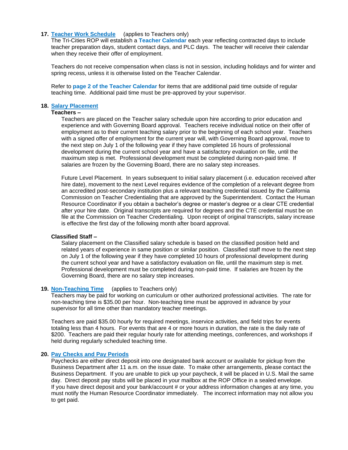# **17. Teacher Work Schedule** (applies to Teachers only)

The Tri-Cities ROP will establish a **Teacher Calendar** each year reflecting contracted days to include teacher preparation days, student contact days, and PLC days. The teacher will receive their calendar when they receive their offer of employment.

Teachers do not receive compensation when class is not in session, including holidays and for winter and spring recess, unless it is otherwise listed on the Teacher Calendar.

Refer to **page 2 of the Teacher Calendar** for items that are additional paid time outside of regular teaching time. Additional paid time must be pre-approved by your supervisor.

# **18. Salary Placement**

# **Teachers –**

Teachers are placed on the Teacher salary schedule upon hire according to prior education and experience and with Governing Board approval. Teachers receive individual notice on their offer of employment as to their current teaching salary prior to the beginning of each school year. Teachers with a signed offer of employment for the current year will, with Governing Board approval, move to the next step on July 1 of the following year if they have completed 16 hours of professional development during the current school year and have a satisfactory evaluation on file, until the maximum step is met. Professional development must be completed during non-paid time. If salaries are frozen by the Governing Board, there are no salary step increases.

Future Level Placement. In years subsequent to initial salary placement (i.e. education received after hire date), movement to the next Level requires evidence of the completion of a relevant degree from an accredited post-secondary institution plus a relevant teaching credential issued by the California Commission on Teacher Credentialing that are approved by the Superintendent. Contact the Human Resource Coordinator if you obtain a bachelor's degree or master's degree or a clear CTE credential after your hire date. Original transcripts are required for degrees and the CTE credential must be on file at the Commission on Teacher Credentialing. Upon receipt of original transcripts, salary increase is effective the first day of the following month after board approval.

#### **Classified Staff –**

Salary placement on the Classified salary schedule is based on the classified position held and related years of experience in same position or similar position. Classified staff move to the next step on July 1 of the following year if they have completed 10 hours of professional development during the current school year and have a satisfactory evaluation on file, until the maximum step is met. Professional development must be completed during non-paid time. If salaries are frozen by the Governing Board, there are no salary step increases.

# **19. Non-Teaching Time** (applies to Teachers only)

Teachers may be paid for working on curriculum or other authorized professional activities. The rate for non-teaching time is \$35.00 per hour. Non-teaching time must be approved in advance by your supervisor for all time other than mandatory teacher meetings.

Teachers are paid \$35.00 hourly for required meetings, inservice activities, and field trips for events totaling less than 4 hours. For events that are 4 or more hours in duration, the rate is the daily rate of \$200. Teachers are paid their regular hourly rate for attending meetings, conferences, and workshops if held during regularly scheduled teaching time.

#### **20. Pay Checks and Pay Periods**

Paychecks are either direct deposit into one designated bank account or available for pickup from the Business Department after 11 a.m. on the issue date. To make other arrangements, please contact the Business Department. If you are unable to pick up your paycheck, it will be placed in U.S. Mail the same day. Direct deposit pay stubs will be placed in your mailbox at the ROP Office in a sealed envelope. If you have direct deposit and your bank/account # or your address information changes at any time, you must notify the Human Resource Coordinator immediately. The incorrect information may not allow you to get paid.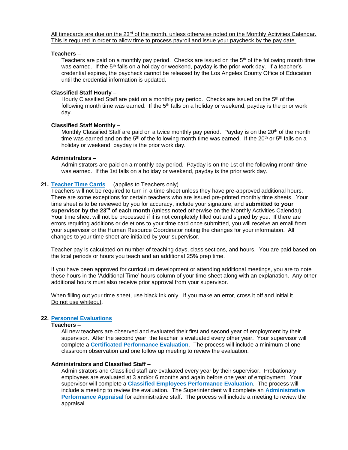All timecards are due on the  $23<sup>rd</sup>$  of the month, unless otherwise noted on the Monthly Activities Calendar. This is required in order to allow time to process payroll and issue your paycheck by the pay date.

# **Teachers –**

Teachers are paid on a monthly pay period. Checks are issued on the  $5<sup>th</sup>$  of the following month time was earned. If the 5<sup>th</sup> falls on a holiday or weekend, payday is the prior work day. If a teacher's credential expires, the paycheck cannot be released by the Los Angeles County Office of Education until the credential information is updated.

# **Classified Staff Hourly –**

Hourly Classified Staff are paid on a monthly pay period. Checks are issued on the  $5<sup>th</sup>$  of the following month time was earned. If the  $5<sup>th</sup>$  falls on a holiday or weekend, payday is the prior work day.

#### **Classified Staff Monthly –**

Monthly Classified Staff are paid on a twice monthly pay period. Payday is on the  $20<sup>th</sup>$  of the month time was earned and on the 5<sup>th</sup> of the following month time was earned. If the 20<sup>th</sup> or 5<sup>th</sup> falls on a holiday or weekend, payday is the prior work day.

# **Administrators –**

Administrators are paid on a monthly pay period. Payday is on the 1st of the following month time was earned. If the 1st falls on a holiday or weekend, payday is the prior work day.

# **21. Teacher Time Cards** (applies to Teachers only)

Teachers will not be required to turn in a time sheet unless they have pre-approved additional hours. There are some exceptions for certain teachers who are issued pre-printed monthly time sheets. Your time sheet is to be reviewed by you for accuracy, include your signature, and **submitted to your supervisor by the 23rd of each month** (unless noted otherwise on the Monthly Activities Calendar). Your time sheet will not be processed if it is not completely filled out and signed by you. If there are errors requiring additions or deletions to your time card once submitted, you will receive an email from your supervisor or the Human Resource Coordinator noting the changes for your information. All changes to your time sheet are initialed by your supervisor.

Teacher pay is calculated on number of teaching days, class sections, and hours. You are paid based on the total periods or hours you teach and an additional 25% prep time.

If you have been approved for curriculum development or attending additional meetings, you are to note these hours in the 'Additional Time' hours column of your time sheet along with an explanation. Any other additional hours must also receive prior approval from your supervisor.

When filling out your time sheet, use black ink only. If you make an error, cross it off and initial it. Do not use whiteout.

# **22. Personnel Evaluations**

# **Teachers –**

All new teachers are observed and evaluated their first and second year of employment by their supervisor. After the second year, the teacher is evaluated every other year. Your supervisor will complete a **Certificated Performance Evaluation**. The process will include a minimum of one classroom observation and one follow up meeting to review the evaluation.

# **Administrators and Classified Staff –**

Administrators and Classified staff are evaluated every year by their supervisor. Probationary employees are evaluated at 3 and/or 6 months and again before one year of employment. Your supervisor will complete a **Classified Employees Performance Evaluation**. The process will include a meeting to review the evaluation. The Superintendent will complete an **Administrative Performance Appraisal** for administrative staff. The process will include a meeting to review the appraisal.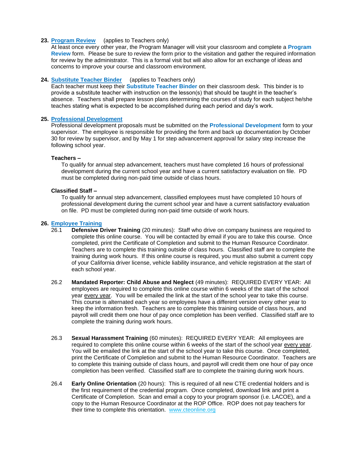# **23. Program Review** (applies to Teachers only)

At least once every other year, the Program Manager will visit your classroom and complete a **Program Review** form. Please be sure to review the form prior to the visitation and gather the required information for review by the administrator. This is a formal visit but will also allow for an exchange of ideas and concerns to improve your course and classroom environment.

# **24. Substitute Teacher Binder** (applies to Teachers only)

Each teacher must keep their **Substitute Teacher Binder** on their classroom desk. This binder is to provide a substitute teacher with instruction on the lesson(s) that should be taught in the teacher's absence. Teachers shall prepare lesson plans determining the courses of study for each subject he/she teaches stating what is expected to be accomplished during each period and day's work.

# **25. Professional Development**

Professional development proposals must be submitted on the **Professional Development** form to your supervisor. The employee is responsible for providing the form and back up documentation by October 30 for review by supervisor, and by May 1 for step advancement approval for salary step increase the following school year.

# **Teachers –**

To qualify for annual step advancement, teachers must have completed 16 hours of professional development during the current school year and have a current satisfactory evaluation on file. PD must be completed during non-paid time outside of class hours.

# **Classified Staff –**

To qualify for annual step advancement, classified employees must have completed 10 hours of professional development during the current school year and have a current satisfactory evaluation on file. PD must be completed during non-paid time outside of work hours.

# **26. Employee Training**

- 26.1 **Defensive Driver Training** (20 minutes): Staff who drive on company business are required to complete this online course. You will be contacted by email if you are to take this course. Once completed, print the Certificate of Completion and submit to the Human Resource Coordinator. Teachers are to complete this training outside of class hours. Classified staff are to complete the training during work hours. If this online course is required, you must also submit a current copy of your California driver license, vehicle liability insurance, and vehicle registration at the start of each school year.
- 26.2 **Mandated Reporter: Child Abuse and Neglect** (49 minutes): REQUIRED EVERY YEAR: All employees are required to complete this online course within 6 weeks of the start of the school year every year. You will be emailed the link at the start of the school year to take this course. This course is alternated each year so employees have a different version every other year to keep the information fresh. Teachers are to complete this training outside of class hours, and payroll will credit them one hour of pay once completion has been verified. Classified staff are to complete the training during work hours.
- 26.3 **Sexual Harassment Training** (60 minutes): REQUIRED EVERY YEAR: All employees are required to complete this online course within 6 weeks of the start of the school year every year. You will be emailed the link at the start of the school year to take this course. Once completed, print the Certificate of Completion and submit to the Human Resource Coordinator. Teachers are to complete this training outside of class hours, and payroll will credit them one hour of pay once completion has been verified. Classified staff are to complete the training during work hours.
- 26.4 **Early Online Orientation** (20 hours): This is required of all new CTE credential holders and is the first requirement of the credential program. Once completed, download link and print a Certificate of Completion. Scan and email a copy to your program sponsor (i.e. LACOE), and a copy to the Human Resource Coordinator at the ROP Office. ROP does not pay teachers for their time to complete this orientation. www.cteonline.org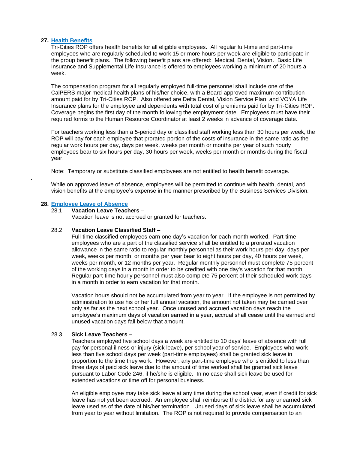# **27. Health Benefits**

Tri-Cities ROP offers health benefits for all eligible employees. All regular full-time and part-time employees who are regularly scheduled to work 15 or more hours per week are eligible to participate in the group benefit plans. The following benefit plans are offered: Medical, Dental, Vision. Basic Life Insurance and Supplemental Life Insurance is offered to employees working a minimum of 20 hours a week.

The compensation program for all regularly employed full-time personnel shall include one of the CalPERS major medical health plans of his/her choice, with a Board-approved maximum contribution amount paid for by Tri-Cities ROP. Also offered are Delta Dental, Vision Service Plan, and VOYA Life Insurance plans for the employee and dependents with total cost of premiums paid for by Tri-Cities ROP. Coverage begins the first day of the month following the employment date. Employees must have their required forms to the Human Resource Coordinator at least 2 weeks in advance of coverage date.

For teachers working less than a 5-period day or classified staff working less than 30 hours per week, the ROP will pay for each employee that prorated portion of the costs of insurance in the same ratio as the regular work hours per day, days per week, weeks per month or months per year of such hourly employees bear to six hours per day, 30 hours per week, weeks per month or months during the fiscal year.

Note: Temporary or substitute classified employees are not entitled to health benefit coverage.

While on approved leave of absence, employees will be permitted to continue with health, dental, and vision benefits at the employee's expense in the manner prescribed by the Business Services Division.

# **28. Employee Leave of Absence**

.

# 28.1 **Vacation Leave Teachers** –

Vacation leave is not accrued or granted for teachers.

#### 28.2 **Vacation Leave Classified Staff –**

Full-time classified employees earn one day's vacation for each month worked.Part-time employees who are a part of the classified service shall be entitled to a prorated vacation allowance in the same ratio to regular monthly personnel as their work hours per day, days per week, weeks per month, or months per year bear to eight hours per day, 40 hours per week, weeks per month, or 12 months per year. Regular monthly personnel must complete 75 percent of the working days in a month in order to be credited with one day's vacation for that month. Regular part-time hourly personnel must also complete 75 percent of their scheduled work days in a month in order to earn vacation for that month.

Vacation hours should not be accumulated from year to year. If the employee is not permitted by administration to use his or her full annual vacation, the amount not taken may be carried over only as far as the next school year. Once unused and accrued vacation days reach the employee's maximum days of vacation earned in a year, accrual shall cease until the earned and unused vacation days fall below that amount.

# 28.3 **Sick Leave Teachers –**

Teachers employed five school days a week are entitled to 10 days' leave of absence with full pay for personal illness or injury (sick leave), per school year of service. Employees who work less than five school days per week (part-time employees) shall be granted sick leave in proportion to the time they work. However, any part-time employee who is entitled to less than three days of paid sick leave due to the amount of time worked shall be granted sick leave pursuant to Labor Code 246, if he/she is eligible. In no case shall sick leave be used for extended vacations or time off for personal business.

An eligible employee may take sick leave at any time during the school year, even if credit for sick leave has not yet been accrued. An employee shall reimburse the district for any unearned sick leave used as of the date of his/her termination. Unused days of sick leave shall be accumulated from year to year without limitation. The ROP is not required to provide compensation to an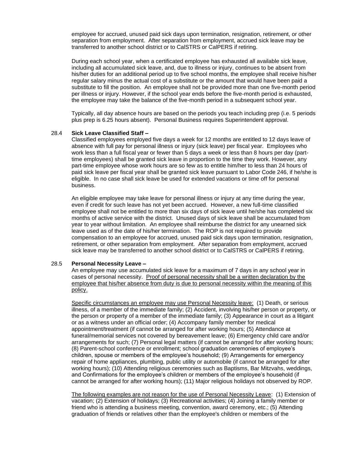employee for accrued, unused paid sick days upon termination, resignation, retirement, or other separation from employment. After separation from employment, accrued sick leave may be transferred to another school district or to CalSTRS or CalPERS if retiring.

During each school year, when a certificated employee has exhausted all available sick leave, including all accumulated sick leave, and, due to illness or injury, continues to be absent from his/her duties for an additional period up to five school months, the employee shall receive his/her regular salary minus the actual cost of a substitute or the amount that would have been paid a substitute to fill the position. An employee shall not be provided more than one five-month period per illness or injury. However, if the school year ends before the five-month period is exhausted, the employee may take the balance of the five-month period in a subsequent school year.

Typically, all day absence hours are based on the periods you teach including prep (i.e. 5 periods plus prep is 6.25 hours absent). Personal Business requires Superintendent approval.

#### 28.4 **Sick Leave Classified Staff –**

Classified employees employed five days a week for 12 months are entitled to 12 days leave of absence with full pay for personal illness or injury (sick leave) per fiscal year. Employees who work less than a full fiscal year or fewer than 5 days a week or less than 8 hours per day (parttime employees) shall be granted sick leave in proportion to the time they work. However, any part-time employee whose work hours are so few as to entitle him/her to less than 24 hours of paid sick leave per fiscal year shall be granted sick leave pursuant to Labor Code 246, if he/she is eligible. In no case shall sick leave be used for extended vacations or time off for personal business.

An eligible employee may take leave for personal illness or injury at any time during the year, even if credit for such leave has not yet been accrued. However, a new full-time classified employee shall not be entitled to more than six days of sick leave until he/she has completed six months of active service with the district. Unused days of sick leave shall be accumulated from year to year without limitation. An employee shall reimburse the district for any unearned sick leave used as of the date of his/her termination. The ROP is not required to provide compensation to an employee for accrued, unused paid sick days upon termination, resignation, retirement, or other separation from employment. After separation from employment, accrued sick leave may be transferred to another school district or to CalSTRS or CalPERS if retiring.

# 28.5 **Personal Necessity Leave –**

An employee may use accumulated sick leave for a maximum of 7 days in any school year in cases of personal necessity. Proof of personal necessity shall be a written declaration by the employee that his/her absence from duty is due to personal necessity within the meaning of this policy.

Specific circumstances an employee may use Personal Necessity leave: (1) Death, or serious illness, of a member of the immediate family; (2) Accident, involving his/her person or property, or the person or property of a member of the immediate family; (3) Appearance in court as a litigant or as a witness under an official order; (4) Accompany family member for medical appointment/treatment (if cannot be arranged for after working hours; (5) Attendance at funeral/memorial services not covered by bereavement leave; (6) Emergency child care and/or arrangements for such; (7) Personal legal matters (if cannot be arranged for after working hours; (8) Parent-school conference or enrollment; school graduation ceremonies of employee's children, spouse or members of the employee's household; (9) Arrangements for emergency repair of home appliances, plumbing, public utility or automobile (if cannot be arranged for after working hours); (10) Attending religious ceremonies such as Baptisms, Bar Mitzvahs, weddings, and Confirmations for the employee's children or members of the employee's household (if cannot be arranged for after working hours); (11) Major religious holidays not observed by ROP.

The following examples are not reason for the use of Personal Necessity Leave: (1) Extension of vacation; (2) Extension of holidays; (3) Recreational activities; (4) Joining a family member or friend who is attending a business meeting, convention, award ceremony, etc.; (5) Attending graduation of friends or relatives other than the employee's children or members of the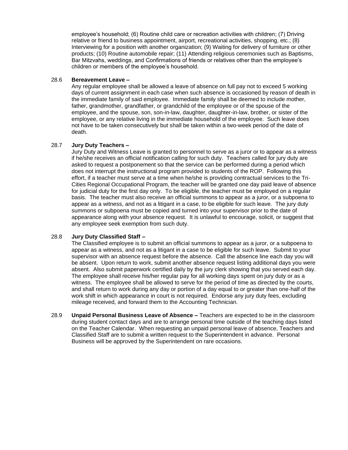employee's household; (6) Routine child care or recreation activities with children; (7) Driving relative or friend to business appointment, airport, recreational activities, shopping, etc.; (8) Interviewing for a position with another organization; (9) Waiting for delivery of furniture or other products; (10) Routine automobile repair; (11) Attending religious ceremonies such as Baptisms, Bar Mitzvahs, weddings, and Confirmations of friends or relatives other than the employee's children or members of the employee's household.

# 28.6 **Bereavement Leave –**

Any regular employee shall be allowed a leave of absence on full pay not to exceed 5 working days of current assignment in each case when such absence is occasioned by reason of death in the immediate family of said employee. Immediate family shall be deemed to include mother, father, grandmother, grandfather, or grandchild of the employee or of the spouse of the employee, and the spouse, son, son-in-law, daughter, daughter-in-law, brother, or sister of the employee, or any relative living in the immediate household of the employee. Such leave does not have to be taken consecutively but shall be taken within a two-week period of the date of death.

# 28.7 **Jury Duty Teachers –**

Jury Duty and Witness Leave is granted to personnel to serve as a juror or to appear as a witness if he/she receives an official notification calling for such duty. Teachers called for jury duty are asked to request a postponement so that the service can be performed during a period which does not interrupt the instructional program provided to students of the ROP. Following this effort, if a teacher must serve at a time when he/she is providing contractual services to the Tri‐ Cities Regional Occupational Program, the teacher will be granted one day paid leave of absence for judicial duty for the first day only. To be eligible, the teacher must be employed on a regular basis. The teacher must also receive an official summons to appear as a juror, or a subpoena to appear as a witness, and not as a litigant in a case, to be eligible for such leave. The jury duty summons or subpoena must be copied and turned into your supervisor prior to the date of appearance along with your absence request. It is unlawful to encourage, solicit, or suggest that any employee seek exemption from such duty.

# 28.8 **Jury Duty Classified Staff –**

The Classified employee is to submit an official summons to appear as a juror, or a subpoena to appear as a witness, and not as a litigant in a case to be eligible for such leave. Submit to your supervisor with an absence request before the absence. Call the absence line each day you will be absent. Upon return to work, submit another absence request listing additional days you were absent. Also submit paperwork certified daily by the jury clerk showing that you served each day. The employee shall receive his/her regular pay for all working days spent on jury duty or as a witness. The employee shall be allowed to serve for the period of time as directed by the courts, and shall return to work during any day or portion of a day equal to or greater than one‐half of the work shift in which appearance in court is not required. Endorse any jury duty fees, excluding mileage received, and forward them to the Accounting Technician.

28.9 **Unpaid Personal Business Leave of Absence –** Teachers are expected to be in the classroom during student contact days and are to arrange personal time outside of the teaching days listed on the Teacher Calendar. When requesting an unpaid personal leave of absence, Teachers and Classified Staff are to submit a written request to the Superintendent in advance. Personal Business will be approved by the Superintendent on rare occasions.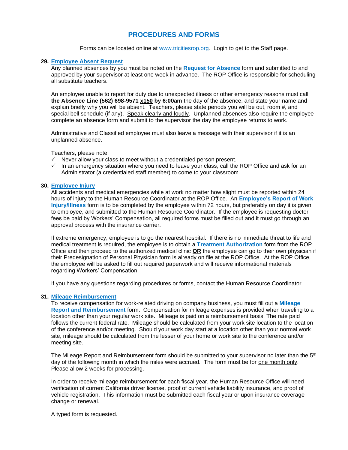# **PROCEDURES AND FORMS**

Forms can be located online at [www.tricitiesrop.org.](http://www.tricitiesrop.org/) Login to get to the Staff page.

# **29. Employee Absent Request**

Any planned absences by you must be noted on the **Request for Absence** form and submitted to and approved by your supervisor at least one week in advance. The ROP Office is responsible for scheduling all substitute teachers.

An employee unable to report for duty due to unexpected illness or other emergency reasons must call **the Absence Line (562) 698-9571 x150 by 6:00am** the day of the absence, and state your name and explain briefly why you will be absent. Teachers, please state periods you will be out, room #, and special bell schedule (if any). Speak clearly and loudly. Unplanned absences also require the employee complete an absence form and submit to the supervisor the day the employee returns to work.

Administrative and Classified employee must also leave a message with their supervisor if it is an unplanned absence.

Teachers, please note:

- $\checkmark$  Never allow your class to meet without a credentialed person present.
- $\checkmark$  In an emergency situation where you need to leave your class, call the ROP Office and ask for an Administrator (a credentialed staff member) to come to your classroom.

# **30. Employee Injury**

All accidents and medical emergencies while at work no matter how slight must be reported within 24 hours of injury to the Human Resource Coordinator at the ROP Office. An **Employee's Report of Work Injury/Illness** form is to be completed by the employee within 72 hours, but preferably on day it is given to employee, and submitted to the Human Resource Coordinator. If the employee is requesting doctor fees be paid by Workers' Compensation, all required forms must be filled out and it must go through an approval process with the insurance carrier.

If extreme emergency, employee is to go the nearest hospital. If there is no immediate threat to life and medical treatment is required, the employee is to obtain a **Treatment Authorization** form from the ROP Office and then proceed to the authorized medical clinic **OR** the employee can go to their own physician if their Predesignation of Personal Physician form is already on file at the ROP Office. At the ROP Office, the employee will be asked to fill out required paperwork and will receive informational materials regarding Workers' Compensation.

If you have any questions regarding procedures or forms, contact the Human Resource Coordinator.

# **31. Mileage Reimbursement**

To receive compensation for work-related driving on company business, you must fill out a **Mileage Report and Reimbursement** form. Compensation for mileage expenses is provided when traveling to a location other than your regular work site. Mileage is paid on a reimbursement basis. The rate paid follows the current federal rate. Mileage should be calculated from your work site location to the location of the conference and/or meeting. Should your work day start at a location other than your normal work site, mileage should be calculated from the lesser of your home or work site to the conference and/or meeting site.

The Mileage Report and Reimbursement form should be submitted to your supervisor no later than the  $5<sup>th</sup>$ day of the following month in which the miles were accrued. The form must be for one month only. Please allow 2 weeks for processing.

In order to receive mileage reimbursement for each fiscal year, the Human Resource Office will need verification of current California driver license, proof of current vehicle liability insurance, and proof of vehicle registration. This information must be submitted each fiscal year or upon insurance coverage change or renewal.

# A typed form is requested.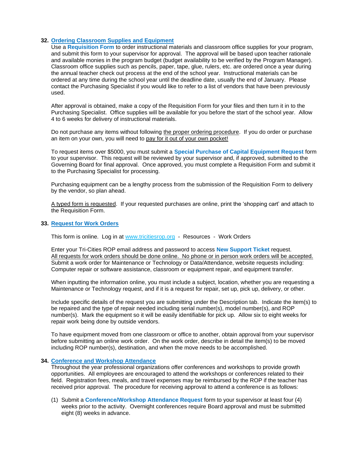# **32. Ordering Classroom Supplies and Equipment**

Use a **Requisition Form** to order instructional materials and classroom office supplies for your program, and submit this form to your supervisor for approval. The approval will be based upon teacher rationale and available monies in the program budget (budget availability to be verified by the Program Manager). Classroom office supplies such as pencils, paper, tape, glue, rulers, etc. are ordered once a year during the annual teacher check out process at the end of the school year. Instructional materials can be ordered at any time during the school year until the deadline date, usually the end of January. Please contact the Purchasing Specialist if you would like to refer to a list of vendors that have been previously used.

After approval is obtained, make a copy of the Requisition Form for your files and then turn it in to the Purchasing Specialist. Office supplies will be available for you before the start of the school year. Allow 4 to 6 weeks for delivery of instructional materials.

Do not purchase any items without following the proper ordering procedure. If you do order or purchase an item on your own, you will need to pay for it out of your own pocket!

To request items over \$5000, you must submit a **Special Purchase of Capital Equipment Request** form to your supervisor. This request will be reviewed by your supervisor and, if approved, submitted to the Governing Board for final approval. Once approved, you must complete a Requisition Form and submit it to the Purchasing Specialist for processing.

Purchasing equipment can be a lengthy process from the submission of the Requisition Form to delivery by the vendor, so plan ahead.

A typed form is requested. If your requested purchases are online, print the 'shopping cart' and attach to the Requisition Form.

# **33. Request for Work Orders**

This form is online. Log in at [www.tricitiesrop.](http://www.tricitiesrop/)org - Resources - Work Orders

Enter your Tri-Cities ROP email address and password to access **New Support Ticket** request. All requests for work orders should be done online. No phone or in person work orders will be accepted. Submit a work order for Maintenance or Technology or Data/Attendance, website requests including: Computer repair or software assistance, classroom or equipment repair, and equipment transfer.

When inputting the information online, you must include a subject, location, whether you are requesting a Maintenance or Technology request, and if it is a request for repair, set up, pick up, delivery, or other.

Include specific details of the request you are submitting under the Description tab. Indicate the item(s) to be repaired and the type of repair needed including serial number(s), model number(s), and ROP number(s). Mark the equipment so it will be easily identifiable for pick up. Allow six to eight weeks for repair work being done by outside vendors.

To have equipment moved from one classroom or office to another, obtain approval from your supervisor before submitting an online work order. On the work order, describe in detail the item(s) to be moved including ROP number(s), destination, and when the move needs to be accomplished.

# **34. Conference and Workshop Attendance**

Throughout the year professional organizations offer conferences and workshops to provide growth opportunities. All employees are encouraged to attend the workshops or conferences related to their field. Registration fees, meals, and travel expenses may be reimbursed by the ROP if the teacher has received prior approval. The procedure for receiving approval to attend a conference is as follows:

(1) Submit a **Conference/Workshop Attendance Request** form to your supervisor at least four (4) weeks prior to the activity. Overnight conferences require Board approval and must be submitted eight (8) weeks in advance.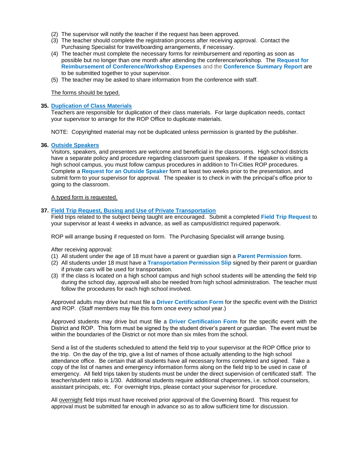- (2) The supervisor will notify the teacher if the request has been approved.
- (3) The teacher should complete the registration process after receiving approval. Contact the Purchasing Specialist for travel/boarding arrangements, if necessary.
- (4) The teacher must complete the necessary forms for reimbursement and reporting as soon as possible but no longer than one month after attending the conference/workshop. The **Request for Reimbursement of Conference/Workshop Expenses** and the **Conference Summary Report** are to be submitted together to your supervisor.
- (5) The teacher may be asked to share information from the conference with staff.

The forms should be typed.

# **35. Duplication of Class Materials**

Teachers are responsible for duplication of their class materials. For large duplication needs, contact your supervisor to arrange for the ROP Office to duplicate materials.

NOTE: Copyrighted material may not be duplicated unless permission is granted by the publisher.

# **36. Outside Speakers**

Visitors, speakers, and presenters are welcome and beneficial in the classrooms. High school districts have a separate policy and procedure regarding classroom guest speakers. If the speaker is visiting a high school campus, you must follow campus procedures in addition to Tri-Cities ROP procedures. Complete a **Request for an Outside Speaker** form at least two weeks prior to the presentation, and submit form to your supervisor for approval. The speaker is to check in with the principal's office prior to going to the classroom.

# A typed form is requested.

# **37. Field Trip Request, Busing and Use of Private Transportation**

Field trips related to the subject being taught are encouraged. Submit a completed **Field Trip Request** to your supervisor at least 4 weeks in advance, as well as campus/district required paperwork.

ROP will arrange busing if requested on form. The Purchasing Specialist will arrange busing.

After receiving approval:

- (1) All student under the age of 18 must have a parent or guardian sign a **Parent Permission** form.
- (2) All students under 18 must have a **Transportation Permission Slip** signed by their parent or guardian if private cars will be used for transportation.
- (3) If the class is located on a high school campus and high school students will be attending the field trip during the school day, approval will also be needed from high school administration. The teacher must follow the procedures for each high school involved.

Approved adults may drive but must file a **Driver Certification Form** for the specific event with the District and ROP. (Staff members may file this form once every school year.)

Approved students may drive but must file a **Driver Certification Form** for the specific event with the District and ROP. This form must be signed by the student driver's parent or guardian. The event must be within the boundaries of the District or not more than six miles from the school.

Send a list of the students scheduled to attend the field trip to your supervisor at the ROP Office prior to the trip. On the day of the trip, give a list of names of those actually attending to the high school attendance office. Be certain that all students have all necessary forms completed and signed. Take a copy of the list of names and emergency information forms along on the field trip to be used in case of emergency. All field trips taken by students must be under the direct supervision of certificated staff. The teacher/student ratio is 1/30. Additional students require additional chaperones, i.e. school counselors, assistant principals, etc. For overnight trips, please contact your supervisor for procedure.

All overnight field trips must have received prior approval of the Governing Board. This request for approval must be submitted far enough in advance so as to allow sufficient time for discussion.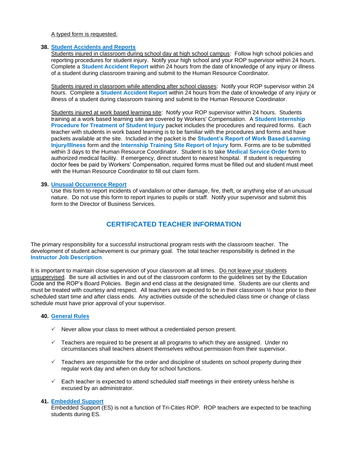# A typed form is requested.

# **38. Student Accidents and Reports**

Students injured in classroom during school day at high school campus: Follow high school policies and reporting procedures for student injury. Notify your high school and your ROP supervisor within 24 hours. Complete a **Student Accident Report** within 24 hours from the date of knowledge of any injury or illness of a student during classroom training and submit to the Human Resource Coordinator.

Students injured in classroom while attending after school classes: Notify your ROP supervisor within 24 hours. Complete a **Student Accident Report** within 24 hours from the date of knowledge of any injury or illness of a student during classroom training and submit to the Human Resource Coordinator.

Students injured at work based learning site: Notify your ROP supervisor within 24 hours. Students training at a work based learning site are covered by Workers' Compensation. A **Student Internship Procedure for Treatment of Student Injury** packet includes the procedures and required forms. Each teacher with students in work based learning is to be familiar with the procedures and forms and have packets available at the site. Included in the packet is the **Student's Report of Work Based Learning Injury/Illness** form and the **Internship Training Site Report of Injury** form. Forms are to be submitted within 3 days to the Human Resource Coordinator. Student is to take **Medical Service Order** form to authorized medical facility. If emergency, direct student to nearest hospital. If student is requesting doctor fees be paid by Workers' Compensation, required forms must be filled out and student must meet with the Human Resource Coordinator to fill out claim form.

# **39. Unusual Occurrence Report**

Use this form to report incidents of vandalism or other damage, fire, theft, or anything else of an unusual nature. Do not use this form to report injuries to pupils or staff. Notify your supervisor and submit this form to the Director of Business Services.

# **CERTIFICATED TEACHER INFORMATION**

The primary responsibility for a successful instructional program rests with the classroom teacher. The development of student achievement is our primary goal. The total teacher responsibility is defined in the **Instructor Job Description**.

It is important to maintain close supervision of your classroom at all times. Do not leave your students unsupervised. Be sure all activities in and out of the classroom conform to the guidelines set by the Education Code and the ROP's Board Policies. Begin and end class at the designated time. Students are our clients and must be treated with courtesy and respect. All teachers are expected to be in their classroom ½ hour prior to their scheduled start time and after class ends. Any activities outside of the scheduled class time or change of class schedule must have prior approval of your supervisor.

# **40. General Rules**

- $\checkmark$  Never allow your class to meet without a credentialed person present.
- $\checkmark$  Teachers are required to be present at all programs to which they are assigned. Under no circumstances shall teachers absent themselves without permission from their supervisor.
- $\checkmark$  Teachers are responsible for the order and discipline of students on school property during their regular work day and when on duty for school functions.
- $\checkmark$  Each teacher is expected to attend scheduled staff meetings in their entirety unless he/she is excused by an administrator.

# **41. Embedded Support**

Embedded Support (ES) is not a function of Tri-Cities ROP. ROP teachers are expected to be teaching students during ES.